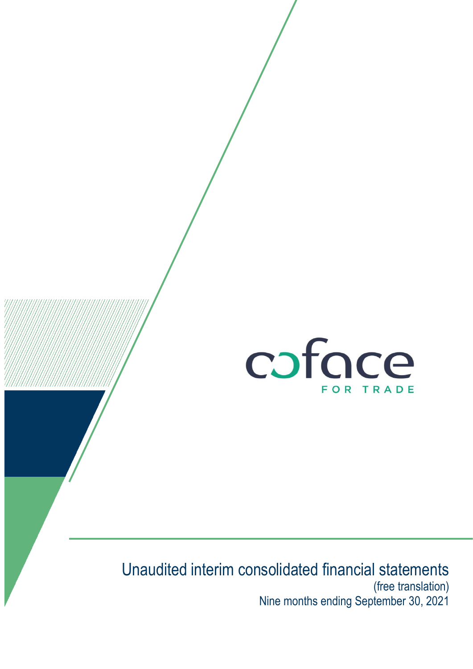

# Unaudited interim consolidated financial statements (free translation) Nine months ending September 30, 2021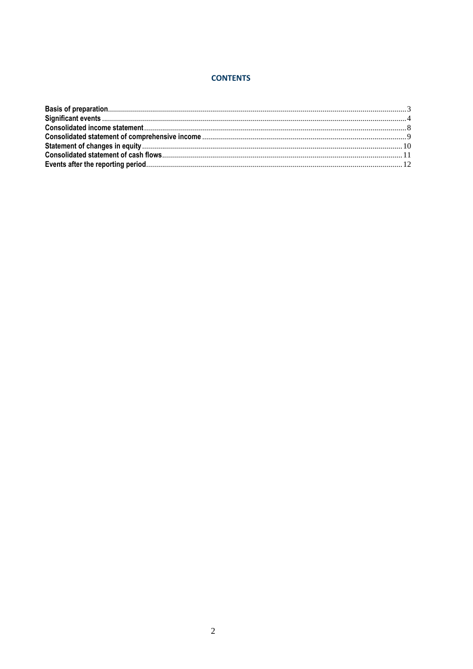#### **CONTENTS**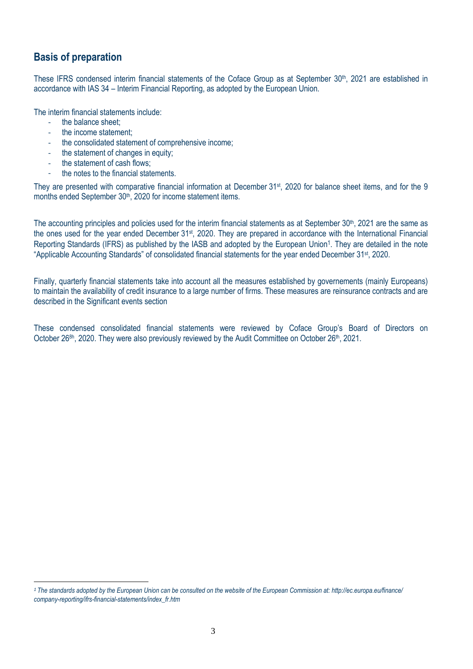### <span id="page-2-0"></span>**Basis of preparation**

These IFRS condensed interim financial statements of the Coface Group as at September 30<sup>th</sup>, 2021 are established in accordance with IAS 34 – Interim Financial Reporting, as adopted by the European Union.

The interim financial statements include:

the balance sheet:

 $\overline{a}$ 

- the income statement:
- the consolidated statement of comprehensive income:
- the statement of changes in equity;
- the statement of cash flows:
- the notes to the financial statements.

They are presented with comparative financial information at December 31st, 2020 for balance sheet items, and for the 9 months ended September 30<sup>th</sup>, 2020 for income statement items.

The accounting principles and policies used for the interim financial statements as at September 30<sup>th</sup>, 2021 are the same as the ones used for the year ended December 31<sup>st</sup>, 2020. They are prepared in accordance with the International Financial Reporting Standards (IFRS) as published by the IASB and adopted by the European Union<sup>1</sup>. They are detailed in the note "Applicable Accounting Standards" of consolidated financial statements for the year ended December 31st, 2020.

Finally, quarterly financial statements take into account all the measures established by governements (mainly Europeans) to maintain the availability of credit insurance to a large number of firms. These measures are reinsurance contracts and are described in the Significant events section

These condensed consolidated financial statements were reviewed by Coface Group's Board of Directors on October 26<sup>8h</sup>, 2020. They were also previously reviewed by the Audit Committee on October 26<sup>th</sup>, 2021.

*<sup>1</sup> The standards adopted by the European Union can be consulted on the website of the European Commission at: http://ec.europa.eu/finance/ company-reporting/ifrs-financial-statements/index\_fr.htm*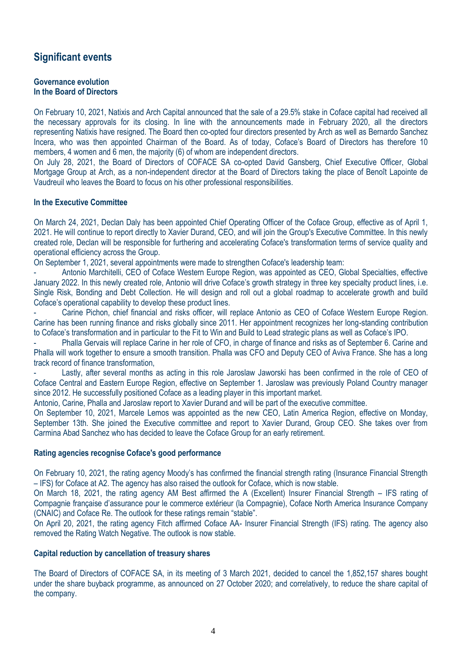### <span id="page-3-0"></span>**Significant events**

#### **Governance evolution In the Board of Directors**

On February 10, 2021, Natixis and Arch Capital announced that the sale of a 29.5% stake in Coface capital had received all the necessary approvals for its closing. In line with the announcements made in February 2020, all the directors representing Natixis have resigned. The Board then co-opted four directors presented by Arch as well as Bernardo Sanchez Incera, who was then appointed Chairman of the Board. As of today, Coface's Board of Directors has therefore 10 members, 4 women and 6 men, the majority (6) of whom are independent directors.

On July 28, 2021, the Board of Directors of COFACE SA co-opted David Gansberg, Chief Executive Officer, Global Mortgage Group at Arch, as a non-independent director at the Board of Directors taking the place of Benoît Lapointe de Vaudreuil who leaves the Board to focus on his other professional responsibilities.

#### **In the Executive Committee**

On March 24, 2021, Declan Daly has been appointed Chief Operating Officer of the Coface Group, effective as of April 1, 2021. He will continue to report directly to Xavier Durand, CEO, and will join the Group's Executive Committee. In this newly created role, Declan will be responsible for furthering and accelerating Coface's transformation terms of service quality and operational efficiency across the Group.

On September 1, 2021, several appointments were made to strengthen Coface's leadership team:

- Antonio Marchitelli, CEO of Coface Western Europe Region, was appointed as CEO, Global Specialties, effective January 2022. In this newly created role, Antonio will drive Coface's growth strategy in three key specialty product lines, i.e. Single Risk, Bonding and Debt Collection. He will design and roll out a global roadmap to accelerate growth and build Coface's operational capability to develop these product lines.

Carine Pichon, chief financial and risks officer, will replace Antonio as CEO of Coface Western Europe Region. Carine has been running finance and risks globally since 2011. Her appointment recognizes her long-standing contribution to Coface's transformation and in particular to the Fit to Win and Build to Lead strategic plans as well as Coface's IPO.

Phalla Gervais will replace Carine in her role of CFO, in charge of finance and risks as of September 6. Carine and Phalla will work together to ensure a smooth transition. Phalla was CFO and Deputy CEO of Aviva France. She has a long track record of finance transformation,

Lastly, after several months as acting in this role Jaroslaw Jaworski has been confirmed in the role of CEO of Coface Central and Eastern Europe Region, effective on September 1. Jaroslaw was previously Poland Country manager since 2012. He successfully positioned Coface as a leading player in this important market.

Antonio, Carine, Phalla and Jaroslaw report to Xavier Durand and will be part of the executive committee.

On September 10, 2021, Marcele Lemos was appointed as the new CEO, Latin America Region, effective on Monday, September 13th. She joined the Executive committee and report to Xavier Durand, Group CEO. She takes over from Carmina Abad Sanchez who has decided to leave the Coface Group for an early retirement.

#### **Rating agencies recognise Coface's good performance**

On February 10, 2021, the rating agency Moody's has confirmed the financial strength rating (Insurance Financial Strength – IFS) for Coface at A2. The agency has also raised the outlook for Coface, which is now stable.

On March 18, 2021, the rating agency AM Best affirmed the A (Excellent) Insurer Financial Strength – IFS rating of Compagnie française d'assurance pour le commerce extérieur (la Compagnie), Coface North America Insurance Company (CNAIC) and Coface Re. The outlook for these ratings remain "stable".

On April 20, 2021, the rating agency Fitch affirmed Coface AA- Insurer Financial Strength (IFS) rating. The agency also removed the Rating Watch Negative. The outlook is now stable.

#### **Capital reduction by cancellation of treasury shares**

The Board of Directors of COFACE SA, in its meeting of 3 March 2021, decided to cancel the 1,852,157 shares bought under the share buyback programme, as announced on 27 October 2020; and correlatively, to reduce the share capital of the company.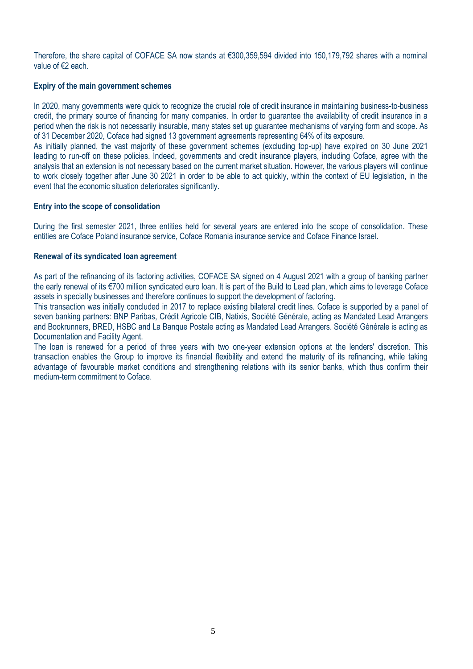Therefore, the share capital of COFACE SA now stands at €300,359,594 divided into 150,179,792 shares with a nominal value of €2 each.

#### **Expiry of the main government schemes**

In 2020, many governments were quick to recognize the crucial role of credit insurance in maintaining business-to-business credit, the primary source of financing for many companies. In order to guarantee the availability of credit insurance in a period when the risk is not necessarily insurable, many states set up guarantee mechanisms of varying form and scope. As of 31 December 2020, Coface had signed 13 government agreements representing 64% of its exposure.

As initially planned, the vast majority of these government schemes (excluding top-up) have expired on 30 June 2021 leading to run-off on these policies. Indeed, governments and credit insurance players, including Coface, agree with the analysis that an extension is not necessary based on the current market situation. However, the various players will continue to work closely together after June 30 2021 in order to be able to act quickly, within the context of EU legislation, in the event that the economic situation deteriorates significantly.

#### **Entry into the scope of consolidation**

During the first semester 2021, three entities held for several years are entered into the scope of consolidation. These entities are Coface Poland insurance service, Coface Romania insurance service and Coface Finance Israel.

#### **Renewal of its syndicated loan agreement**

As part of the refinancing of its factoring activities, COFACE SA signed on 4 August 2021 with a group of banking partner the early renewal of its €700 million syndicated euro loan. It is part of the Build to Lead plan, which aims to leverage Coface assets in specialty businesses and therefore continues to support the development of factoring.

This transaction was initially concluded in 2017 to replace existing bilateral credit lines. Coface is supported by a panel of seven banking partners: BNP Paribas, Crédit Agricole CIB, Natixis, Société Générale, acting as Mandated Lead Arrangers and Bookrunners, BRED, HSBC and La Banque Postale acting as Mandated Lead Arrangers. Société Générale is acting as Documentation and Facility Agent.

The loan is renewed for a period of three years with two one-year extension options at the lenders' discretion. This transaction enables the Group to improve its financial flexibility and extend the maturity of its refinancing, while taking advantage of favourable market conditions and strengthening relations with its senior banks, which thus confirm their medium-term commitment to Coface.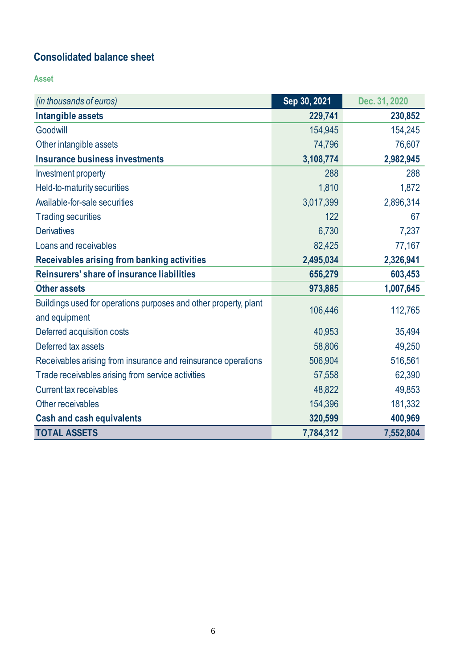## **Consolidated balance sheet**

**Asset**

| (in thousands of euros)                                          | Sep 30, 2021 | Dec. 31, 2020 |
|------------------------------------------------------------------|--------------|---------------|
| Intangible assets                                                | 229,741      | 230,852       |
| Goodwill                                                         | 154,945      | 154,245       |
| Other intangible assets                                          | 74,796       | 76,607        |
| Insurance business investments                                   | 3,108,774    | 2,982,945     |
| Investment property                                              | 288          | 288           |
| Held-to-maturity securities                                      | 1,810        | 1,872         |
| Available-for-sale securities                                    | 3,017,399    | 2,896,314     |
| <b>Trading securities</b>                                        | 122          | 67            |
| <b>Derivatives</b>                                               | 6,730        | 7,237         |
| Loans and receivables                                            | 82,425       | 77,167        |
| Receivables arising from banking activities                      | 2,495,034    | 2,326,941     |
| Reinsurers' share of insurance liabilities                       | 656,279      | 603,453       |
| <b>Other assets</b>                                              | 973,885      | 1,007,645     |
| Buildings used for operations purposes and other property, plant | 106,446      | 112,765       |
| and equipment                                                    |              |               |
| Deferred acquisition costs                                       | 40,953       | 35,494        |
| Deferred tax assets                                              | 58,806       | 49,250        |
| Receivables arising from insurance and reinsurance operations    | 506,904      | 516,561       |
| Trade receivables arising from service activities                | 57,558       | 62,390        |
| <b>Current tax receivables</b>                                   | 48,822       | 49,853        |
| Other receivables                                                | 154,396      | 181,332       |
| <b>Cash and cash equivalents</b>                                 | 320,599      | 400,969       |
| <b>TOTAL ASSETS</b>                                              | 7,784,312    | 7,552,804     |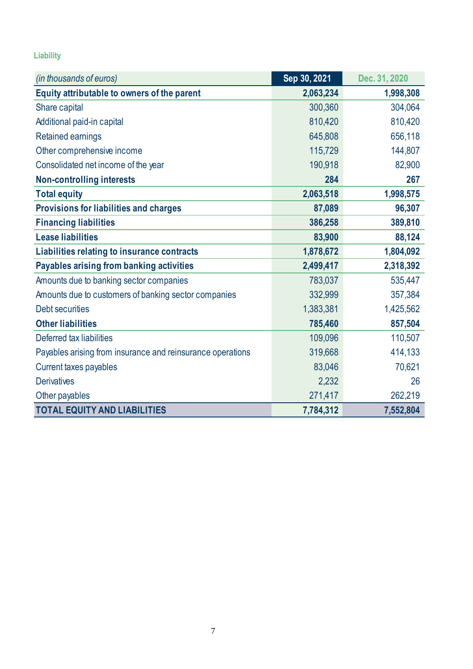### **Liability**

| (in thousands of euros)                                    | Sep 30, 2021 | Dec. 31, 2020 |
|------------------------------------------------------------|--------------|---------------|
| Equity attributable to owners of the parent                | 2,063,234    | 1,998,308     |
| Share capital                                              | 300,360      | 304,064       |
| Additional paid-in capital                                 | 810,420      | 810,420       |
| <b>Retained earnings</b>                                   | 645,808      | 656,118       |
| Other comprehensive income                                 | 115,729      | 144,807       |
| Consolidated net income of the year                        | 190,918      | 82,900        |
| <b>Non-controlling interests</b>                           | 284          | 267           |
| <b>Total equity</b>                                        | 2,063,518    | 1,998,575     |
| Provisions for liabilities and charges                     | 87,089       | 96,307        |
| <b>Financing liabilities</b>                               | 386,258      | 389,810       |
| <b>Lease liabilities</b>                                   | 83,900       | 88,124        |
| Liabilities relating to insurance contracts                | 1,878,672    | 1,804,092     |
| Payables arising from banking activities                   | 2,499,417    | 2,318,392     |
| Amounts due to banking sector companies                    | 783,037      | 535,447       |
| Amounts due to customers of banking sector companies       | 332,999      | 357,384       |
| Debt securities                                            | 1,383,381    | 1,425,562     |
| <b>Other liabilities</b>                                   | 785,460      | 857,504       |
| Deferred tax liabilities                                   | 109,096      | 110,507       |
| Payables arising from insurance and reinsurance operations | 319,668      | 414,133       |
| Current taxes payables                                     | 83,046       | 70,621        |
| <b>Derivatives</b>                                         | 2,232        | 26            |
| Other payables                                             | 271,417      | 262,219       |
| <b>TOTAL EQUITY AND LIABILITIES</b>                        | 7,784,312    | 7,552,804     |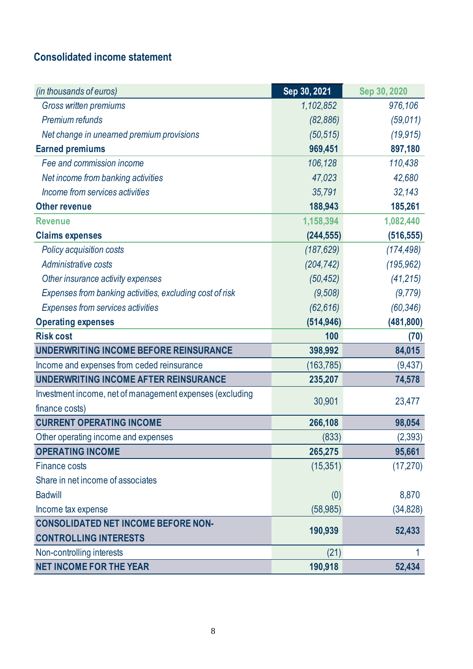## <span id="page-7-0"></span>**Consolidated income statement**

| (in thousands of euros)                                  | Sep 30, 2021 | Sep 30, 2020 |
|----------------------------------------------------------|--------------|--------------|
| Gross written premiums                                   | 1,102,852    | 976,106      |
| Premium refunds                                          | (82, 886)    | (59,011)     |
| Net change in unearned premium provisions                | (50, 515)    | (19, 915)    |
| <b>Earned premiums</b>                                   | 969,451      | 897,180      |
| Fee and commission income                                | 106,128      | 110,438      |
| Net income from banking activities                       | 47,023       | 42,680       |
| Income from services activities                          | 35,791       | 32,143       |
| <b>Other revenue</b>                                     | 188,943      | 185,261      |
| <b>Revenue</b>                                           | 1,158,394    | 1,082,440    |
| <b>Claims expenses</b>                                   | (244, 555)   | (516, 555)   |
| Policy acquisition costs                                 | (187, 629)   | (174, 498)   |
| Administrative costs                                     | (204, 742)   | (195, 962)   |
| Other insurance activity expenses                        | (50, 452)    | (41, 215)    |
| Expenses from banking activities, excluding cost of risk | (9,508)      | (9, 779)     |
| Expenses from services activities                        | (62, 616)    | (60, 346)    |
| <b>Operating expenses</b>                                | (514, 946)   | (481, 800)   |
| <b>Risk cost</b>                                         | 100          | (70)         |
| UNDERWRITING INCOME BEFORE REINSURANCE                   | 398,992      | 84,015       |
| Income and expenses from ceded reinsurance               | (163,785)    | (9, 437)     |
| UNDERWRITING INCOME AFTER REINSURANCE                    | 235,207      | 74,578       |
| Investment income, net of management expenses (excluding | 30,901       | 23,477       |
| finance costs)                                           |              |              |
| <b>CURRENT OPERATING INCOME</b>                          | 266,108      | 98,054       |
| Other operating income and expenses                      | (833)        | (2,393)      |
| <b>OPERATING INCOME</b>                                  | 265,275      | 95,661       |
| <b>Finance costs</b>                                     | (15, 351)    | (17, 270)    |
| Share in net income of associates                        |              |              |
| <b>Badwill</b>                                           | (0)          | 8,870        |
| Income tax expense                                       | (58, 985)    | (34, 828)    |
| <b>CONSOLIDATED NET INCOME BEFORE NON-</b>               | 190,939      | 52,433       |
| <b>CONTROLLING INTERESTS</b>                             |              |              |
| Non-controlling interests                                | (21)         |              |
| <b>NET INCOME FOR THE YEAR</b>                           | 190,918      | 52,434       |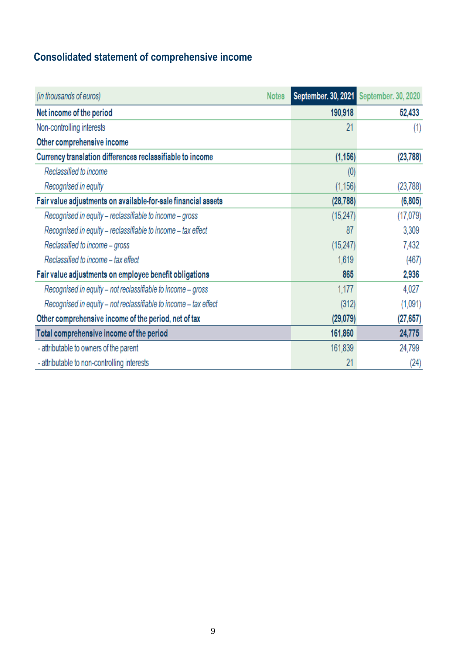# <span id="page-8-0"></span>**Consolidated statement of comprehensive income**

| (in thousands of euros)                                          | <b>Notes</b> |           | September. 30, 2021 September. 30, 2020 |
|------------------------------------------------------------------|--------------|-----------|-----------------------------------------|
| Net income of the period                                         |              | 190,918   | 52,433                                  |
| Non-controlling interests                                        |              | 21        | (1)                                     |
| Other comprehensive income                                       |              |           |                                         |
| Currency translation differences reclassifiable to income        |              | (1, 156)  | (23, 788)                               |
| Reclassified to income                                           |              | (0)       |                                         |
| Recognised in equity                                             |              | (1, 156)  | (23, 788)                               |
| Fair value adjustments on available-for-sale financial assets    |              | (28, 788) | (6, 805)                                |
| Recognised in equity - reclassifiable to income - gross          |              | (15,247)  | (17,079)                                |
| Recognised in equity - reclassifiable to income - tax effect     |              | 87        | 3,309                                   |
| Reclassified to income - gross                                   |              | (15, 247) | 7,432                                   |
| Reclassified to income – tax effect                              |              | 1,619     | (467)                                   |
| Fair value adjustments on employee benefit obligations           |              | 865       | 2,936                                   |
| Recognised in equity – not reclassifiable to income – gross      |              | 1,177     | 4,027                                   |
| Recognised in equity – not reclassifiable to income – tax effect |              | (312)     | (1,091)                                 |
| Other comprehensive income of the period, net of tax             |              | (29,079)  | (27, 657)                               |
| Total comprehensive income of the period                         |              | 161,860   | 24,775                                  |
| - attributable to owners of the parent                           |              | 161,839   | 24,799                                  |
| - attributable to non-controlling interests                      |              | 21        | (24)                                    |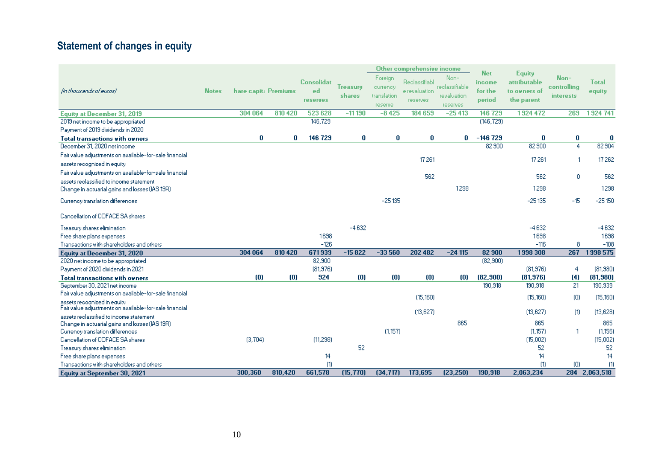# **Statement of changes in equity**

<span id="page-9-0"></span>

|                                                                                        |              |                      |         |                                            |                           | Other comprehensive income                    |                                             |                                                   | <b>Net</b><br><b>Equity</b> |                                            |                                         |                  |
|----------------------------------------------------------------------------------------|--------------|----------------------|---------|--------------------------------------------|---------------------------|-----------------------------------------------|---------------------------------------------|---------------------------------------------------|-----------------------------|--------------------------------------------|-----------------------------------------|------------------|
| (in thousands of euros)                                                                | <b>Notes</b> | hare capit: Premiums |         | <b>Consolidat</b><br>ed<br><b>reserves</b> | <b>Treasury</b><br>shares | Foreign<br>currency<br>translation<br>reserve | Reclassifiabl<br>e revaluation<br>reserves. | Non-<br>reolassifiable<br>revaluation<br>reserves | income<br>for the<br>period | attributable<br>to owners of<br>the parent | Non-<br>controlling<br><b>interests</b> | Total<br>equity  |
| <b>Equity at December 31, 2019</b>                                                     |              | 304 064              | 810 420 | 523 628                                    | $-11190$                  | $-8425$                                       | 184 659                                     | $-25413$                                          | 146729                      | 1924 472                                   | 269                                     | 1924 741         |
| 2019 net income to be appropriated                                                     |              |                      |         | 146,729                                    |                           |                                               |                                             |                                                   | (146, 729)                  |                                            |                                         |                  |
| Payment of 2019 dividends in 2020                                                      |              |                      |         |                                            |                           |                                               |                                             |                                                   |                             |                                            |                                         |                  |
| <b>Total transactions with owners</b>                                                  |              | 0                    | 0       | 146729                                     | 0                         | $\bf{0}$                                      | 0                                           | 0                                                 | $-146729$                   | 0                                          | 0                                       | 0                |
| December 31, 2020 net income                                                           |              |                      |         |                                            |                           |                                               |                                             |                                                   | 82 900                      | 82 900                                     | 4                                       | 82 904           |
| Fair value adjustments on available-for-sale financial                                 |              |                      |         |                                            |                           |                                               | 17261                                       |                                                   |                             | 17261                                      |                                         | 17262            |
| assets recognized in equity                                                            |              |                      |         |                                            |                           |                                               |                                             |                                                   |                             |                                            |                                         |                  |
| Fair value adjustments on available-for-sale financial                                 |              |                      |         |                                            |                           |                                               | 562                                         |                                                   |                             | 562                                        | 0                                       | 562              |
| assets reclassified to income statement                                                |              |                      |         |                                            |                           |                                               |                                             |                                                   |                             |                                            |                                         |                  |
| Change in actuarial gains and losses (IAS 19R).                                        |              |                      |         |                                            |                           |                                               |                                             | 1298                                              |                             | 1298                                       |                                         | 1298             |
| Currency translation differences                                                       |              |                      |         |                                            |                           | $-25135$                                      |                                             |                                                   |                             | $-25135$                                   | $-15$                                   | $-25150$         |
| Cancellation of COFACE SA shares                                                       |              |                      |         |                                            |                           |                                               |                                             |                                                   |                             |                                            |                                         |                  |
| Treasury shares elimination                                                            |              |                      |         |                                            | $-4632$                   |                                               |                                             |                                                   |                             | $-4632$                                    |                                         | $-4632$          |
| Free share plans expenses                                                              |              |                      |         | 1698                                       |                           |                                               |                                             |                                                   |                             | 1698                                       |                                         | 1698             |
| Transactions with shareholders and others                                              |              |                      |         | $-126$                                     |                           |                                               |                                             |                                                   |                             | $-116$                                     | 8                                       | $-108$           |
| <b>Equity at December 31, 2020</b>                                                     |              | 304 064              | 810 420 | 671939                                     | $-15822$                  | $-33560$                                      | 202 482                                     | $-24115$                                          | 82 900                      | 1998 308                                   | 267                                     | 1998 575         |
| 2020 net income to be appropriated                                                     |              |                      |         | 82,900                                     |                           |                                               |                                             |                                                   | (82, 900)                   |                                            |                                         |                  |
| Payment of 2020 dividends in 2021                                                      |              |                      |         | (81, 976)                                  |                           |                                               |                                             |                                                   |                             | (81, 976)                                  | 4                                       | (81, 980)        |
| <b>Total transactions with owners</b>                                                  |              | (0)                  | (0)     | 924                                        | (0)                       | (0)                                           | (0)                                         | (0)                                               | (82, 900)                   | (81, 976)                                  | (4)                                     | (81, 980)        |
| September 30, 2021 net income                                                          |              |                      |         |                                            |                           |                                               |                                             |                                                   | 190,918                     | 190,918                                    | 21                                      | 190,939          |
| Fair value adjustments on available-for-sale financial                                 |              |                      |         |                                            |                           |                                               | (15, 160)                                   |                                                   |                             | (15, 160)                                  | (0)                                     | (15, 160)        |
| assets recognized in equity.<br>Fair value adjustments on available-for-sale financial |              |                      |         |                                            |                           |                                               | (13,627)                                    |                                                   |                             | (13, 627)                                  | (1)                                     | (13, 628)        |
| assets reclassified to income statement                                                |              |                      |         |                                            |                           |                                               |                                             |                                                   |                             |                                            |                                         |                  |
| Change in actuarial gains and losses (IAS 19R).                                        |              |                      |         |                                            |                           |                                               |                                             | 865                                               |                             | 865                                        |                                         | 865              |
| Currency translation differences                                                       |              |                      |         |                                            |                           | (1,157)                                       |                                             |                                                   |                             | (1.157)                                    | f.                                      | (1,156)          |
| Cancellation of COFACE SA shares                                                       |              | (3.704)              |         | (11.298)                                   |                           |                                               |                                             |                                                   |                             | (15,002)                                   |                                         | (15,002)         |
| Treasury shares elimination                                                            |              |                      |         |                                            | 52                        |                                               |                                             |                                                   |                             | 52                                         |                                         | 52               |
| Free share plans expenses                                                              |              |                      |         | 14                                         |                           |                                               |                                             |                                                   |                             | 14                                         |                                         | 14               |
| Transactions with shareholders and others                                              |              |                      |         | (1)                                        |                           |                                               |                                             |                                                   |                             | (1)                                        | (0)                                     | $\left(1\right)$ |
| <b>Equity at September 30, 2021</b>                                                    |              | 300,360              | 810,420 | 661,578                                    | (15, 770)                 | (34, 717)                                     | 173,695                                     | (23, 250)                                         | 190,918                     | 2,063,234                                  |                                         | 284 2,063,518    |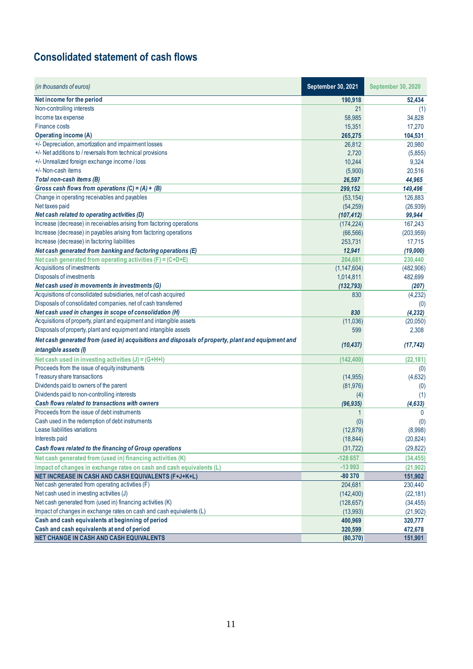## <span id="page-10-0"></span>**Consolidated statement of cash flows**

| (in thousands of euros)                                                                           | September 30, 2021 | <b>September 30, 2020</b> |
|---------------------------------------------------------------------------------------------------|--------------------|---------------------------|
| Net income for the period                                                                         | 190,918            | 52,434                    |
| Non-controlling interests                                                                         | 21                 | (1)                       |
| Income tax expense                                                                                | 58,985             | 34,828                    |
| <b>Finance costs</b>                                                                              | 15,351             | 17,270                    |
| <b>Operating income (A)</b>                                                                       | 265,275            | 104,531                   |
| +/- Depreciation, amortization and impairment losses                                              | 26,812             | 20,980                    |
| +/- Net additions to / reversals from technical provisions                                        | 2,720              | (5,855)                   |
| +/- Unrealized foreign exchange income / loss                                                     | 10,244             | 9,324                     |
| +/- Non-cash items                                                                                | (5,900)            | 20,516                    |
| Total non-cash items (B)                                                                          | 26,597             | 44,965                    |
| Gross cash flows from operations $(C) = (A) + (B)$                                                | 299,152            | 149,496                   |
| Change in operating receivables and payables                                                      | (53, 154)          | 126,883                   |
| Net taxes paid                                                                                    | (54, 259)          | (26, 939)                 |
| Net cash related to operating activities (D)                                                      | (107, 412)         | 99,944                    |
| Increase (decrease) in receivables arising from factoring operations                              | (174, 224)         | 167,243                   |
| Increase (decrease) in payables arising from factoring operations                                 | (66, 566)          | (203, 959)                |
| Increase (decrease) in factoring liabilities                                                      | 253,731            | 17,715                    |
| Net cash generated from banking and factoring operations (E)                                      | 12,941             | (19,000)                  |
| Net cash generated from operating activities (F) = (C+D+E)                                        | 204,681            | 230,440                   |
| Acquisitions of investments                                                                       | (1, 147, 604)      | (482,906)                 |
| Disposals of investments                                                                          | 1,014,811          | 482,699                   |
| Net cash used in movements in investments (G)                                                     | (132, 793)         | (207)                     |
| Acquisitions of consolidated subsidiaries, net of cash acquired                                   | 830                | (4,232)                   |
| Disposals of consolidated companies, net of cash transferred                                      |                    | (0)                       |
| Net cash used in changes in scope of consolidation (H)                                            | 830                | (4, 232)                  |
| Acquisitions of property, plant and equipment and intangible assets                               | (11,036)           | (20,050)                  |
| Disposals of property, plant and equipment and intangible assets                                  | 599                | 2,308                     |
| Net cash generated from (used in) acquisitions and disposals of property, plant and equipment and |                    |                           |
| intangible assets (I)                                                                             | (10, 437)          | (17, 742)                 |
| Net cash used in investing activities (J) = (G+H+I)                                               | (142, 400)         | (22, 181)                 |
| Proceeds from the issue of equity instruments                                                     |                    | (0)                       |
| Treasury share transactions                                                                       | (14, 955)          | (4,632)                   |
| Dividends paid to owners of the parent                                                            | (81, 976)          | (0)                       |
| Dividends paid to non-controlling interests                                                       | (4)                | (1)                       |
| Cash flows related to transactions with owners                                                    | (96, 935)          | (4, 633)                  |
| Proceeds from the issue of debt instruments                                                       | 1                  | $\mathbf{0}$              |
| Cash used in the redemption of debt instruments                                                   | (0)                | (0)                       |
| Lease liabilities variations                                                                      | (12, 879)          | (8,998)                   |
| Interests paid                                                                                    | (18, 844)          | (20, 824)                 |
| Cash flows related to the financing of Group operations                                           | (31, 722)          | (29, 822)                 |
| Net cash generated from (used in) financing activities (K)                                        | $-128657$          | (34, 455)                 |
| Impact of changes in exchange rates on cash and cash equivalents (L)                              | $-13993$           | (21, 902)                 |
| NET INCREASE IN CASH AND CASH EQUIVALENTS (F+J+K+L)                                               | $-80370$           | 151,902                   |
| Net cash generated from operating activities (F)                                                  | 204,681            | 230,440                   |
| Net cash used in investing activities (J)                                                         | (142, 400)         | (22, 181)                 |
| Net cash generated from (used in) financing activities (K)                                        | (128, 657)         | (34, 455)                 |
| Impact of changes in exchange rates on cash and cash equivalents (L)                              | (13,993)           | (21, 902)                 |
| Cash and cash equivalents at beginning of period                                                  | 400,969            | 320,777                   |
| Cash and cash equivalents at end of period                                                        | 320,599            | 472,678                   |
| NET CHANGE IN CASH AND CASH EQUIVALENTS                                                           | (80, 370)          | 151,901                   |